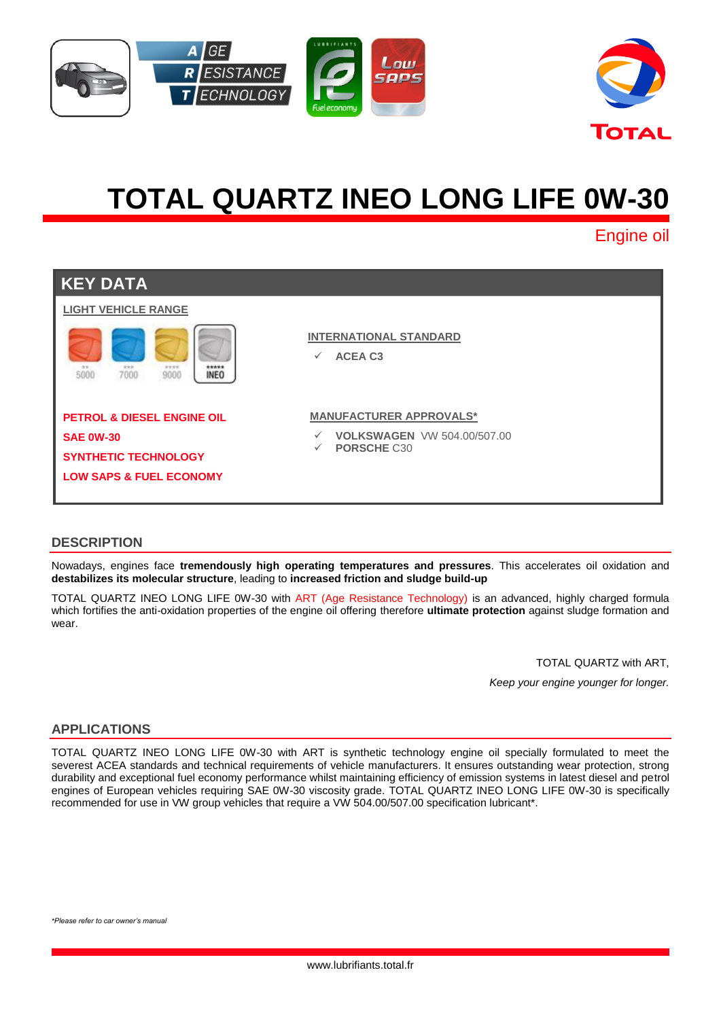



# **TOTAL QUARTZ INEO LONG LIFE 0W-30**

Engine oil

| <b>KEY DATA</b>                                             |                                                                                   |
|-------------------------------------------------------------|-----------------------------------------------------------------------------------|
| <b>LIGHT VEHICLE RANGE</b>                                  |                                                                                   |
| 9999<br>*****<br>***<br>5000<br>7000<br>9000<br><b>INEO</b> | <b>INTERNATIONAL STANDARD</b><br><b>ACEA C3</b><br>$\checkmark$                   |
| <b>PETROL &amp; DIESEL ENGINE OIL</b>                       | <b>MANUFACTURER APPROVALS*</b>                                                    |
| <b>SAE 0W-30</b>                                            | <b>VOLKSWAGEN VW 504.00/507.00</b><br>$\checkmark$<br>PORSCHE C30<br>$\checkmark$ |
| <b>SYNTHETIC TECHNOLOGY</b>                                 |                                                                                   |
| <b>LOW SAPS &amp; FUEL ECONOMY</b>                          |                                                                                   |
|                                                             |                                                                                   |

## **DESCRIPTION**

Nowadays, engines face **tremendously high operating temperatures and pressures**. This accelerates oil oxidation and **destabilizes its molecular structure**, leading to **increased friction and sludge build-up**

TOTAL QUARTZ INEO LONG LIFE 0W-30 with ART (Age Resistance Technology) is an advanced, highly charged formula which fortifies the anti-oxidation properties of the engine oil offering therefore **ultimate protection** against sludge formation and wear

TOTAL QUARTZ with ART,

*Keep your engine younger for longer.*

## **APPLICATIONS**

TOTAL QUARTZ INEO LONG LIFE 0W-30 with ART is synthetic technology engine oil specially formulated to meet the severest ACEA standards and technical requirements of vehicle manufacturers. It ensures outstanding wear protection, strong durability and exceptional fuel economy performance whilst maintaining efficiency of emission systems in latest diesel and petrol engines of European vehicles requiring SAE 0W-30 viscosity grade. TOTAL QUARTZ INEO LONG LIFE 0W-30 is specifically recommended for use in VW group vehicles that require a VW 504.00/507.00 specification lubricant\*.